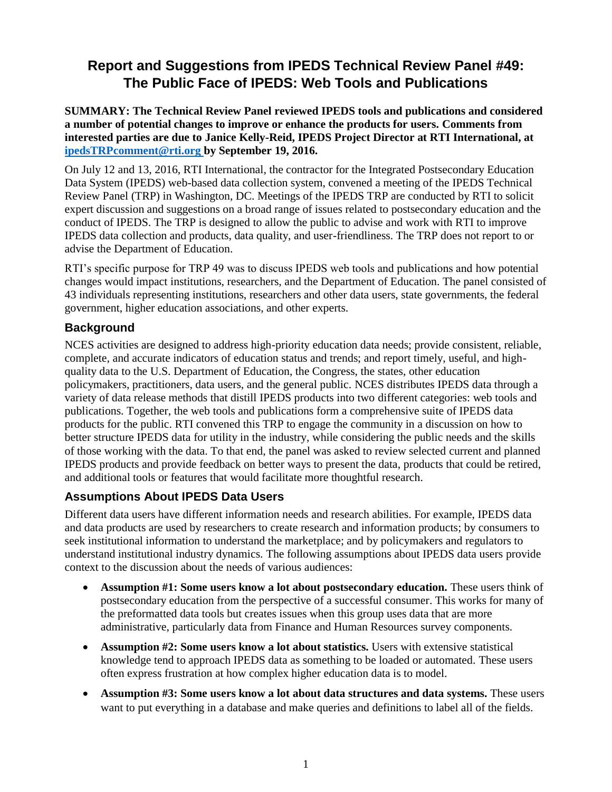# **Report and Suggestions from IPEDS Technical Review Panel #49: The Public Face of IPEDS: Web Tools and Publications**

**SUMMARY: The Technical Review Panel reviewed IPEDS tools and publications and considered a number of potential changes to improve or enhance the products for users. Comments from interested parties are due to Janice Kelly-Reid, IPEDS Project Director at RTI International, at [ipedsTRPcomment@rti.org](mailto:ipedsTRPcomment@rti.org) by September 19, 2016.**

On July 12 and 13, 2016, RTI International, the contractor for the Integrated Postsecondary Education Data System (IPEDS) web-based data collection system, convened a meeting of the IPEDS Technical Review Panel (TRP) in Washington, DC. Meetings of the IPEDS TRP are conducted by RTI to solicit expert discussion and suggestions on a broad range of issues related to postsecondary education and the conduct of IPEDS. The TRP is designed to allow the public to advise and work with RTI to improve IPEDS data collection and products, data quality, and user-friendliness. The TRP does not report to or advise the Department of Education.

RTI's specific purpose for TRP 49 was to discuss IPEDS web tools and publications and how potential changes would impact institutions, researchers, and the Department of Education. The panel consisted of 43 individuals representing institutions, researchers and other data users, state governments, the federal government, higher education associations, and other experts.

# **Background**

NCES activities are designed to address high-priority education data needs; provide consistent, reliable, complete, and accurate indicators of education status and trends; and report timely, useful, and highquality data to the U.S. Department of Education, the Congress, the states, other education policymakers, practitioners, data users, and the general public. NCES distributes IPEDS data through a variety of data release methods that distill IPEDS products into two different categories: web tools and publications. Together, the web tools and publications form a comprehensive suite of IPEDS data products for the public. RTI convened this TRP to engage the community in a discussion on how to better structure IPEDS data for utility in the industry, while considering the public needs and the skills of those working with the data. To that end, the panel was asked to review selected current and planned IPEDS products and provide feedback on better ways to present the data, products that could be retired, and additional tools or features that would facilitate more thoughtful research.

# **Assumptions About IPEDS Data Users**

Different data users have different information needs and research abilities. For example, IPEDS data and data products are used by researchers to create research and information products; by consumers to seek institutional information to understand the marketplace; and by policymakers and regulators to understand institutional industry dynamics. The following assumptions about IPEDS data users provide context to the discussion about the needs of various audiences:

- **Assumption #1: Some users know a lot about postsecondary education.** These users think of postsecondary education from the perspective of a successful consumer. This works for many of the preformatted data tools but creates issues when this group uses data that are more administrative, particularly data from Finance and Human Resources survey components.
- **Assumption #2: Some users know a lot about statistics.** Users with extensive statistical knowledge tend to approach IPEDS data as something to be loaded or automated. These users often express frustration at how complex higher education data is to model.
- **Assumption #3: Some users know a lot about data structures and data systems.** These users want to put everything in a database and make queries and definitions to label all of the fields.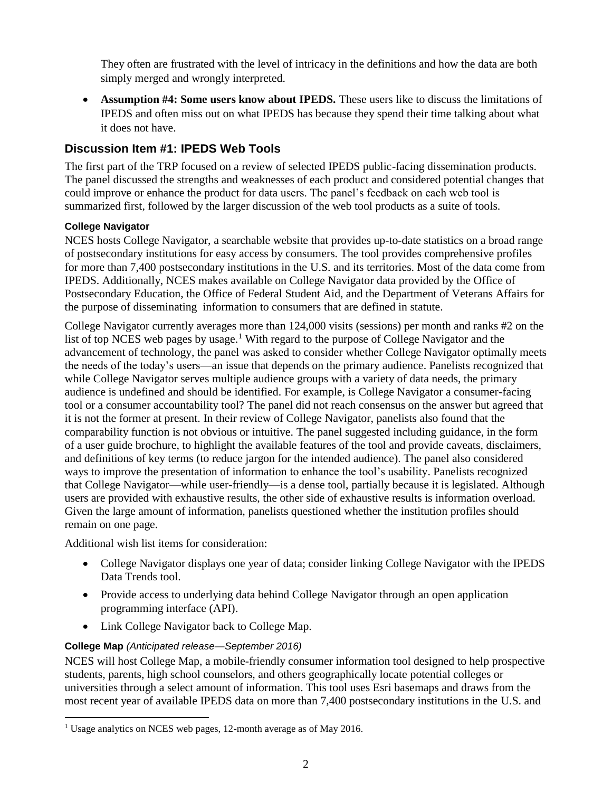They often are frustrated with the level of intricacy in the definitions and how the data are both simply merged and wrongly interpreted.

 **Assumption #4: Some users know about IPEDS.** These users like to discuss the limitations of IPEDS and often miss out on what IPEDS has because they spend their time talking about what it does not have.

# **Discussion Item #1: IPEDS Web Tools**

The first part of the TRP focused on a review of selected IPEDS public-facing dissemination products. The panel discussed the strengths and weaknesses of each product and considered potential changes that could improve or enhance the product for data users. The panel's feedback on each web tool is summarized first, followed by the larger discussion of the web tool products as a suite of tools.

# **College Navigator**

NCES hosts College Navigator, a searchable website that provides up-to-date statistics on a broad range of postsecondary institutions for easy access by consumers. The tool provides comprehensive profiles for more than 7,400 postsecondary institutions in the U.S. and its territories. Most of the data come from IPEDS. Additionally, NCES makes available on College Navigator data provided by the Office of Postsecondary Education, the Office of Federal Student Aid, and the Department of Veterans Affairs for the purpose of disseminating information to consumers that are defined in statute.

College Navigator currently averages more than 124,000 visits (sessions) per month and ranks #2 on the list of top NCES web pages by usage.<sup>1</sup> With regard to the purpose of College Navigator and the advancement of technology, the panel was asked to consider whether College Navigator optimally meets the needs of the today's users—an issue that depends on the primary audience. Panelists recognized that while College Navigator serves multiple audience groups with a variety of data needs, the primary audience is undefined and should be identified. For example, is College Navigator a consumer-facing tool or a consumer accountability tool? The panel did not reach consensus on the answer but agreed that it is not the former at present. In their review of College Navigator, panelists also found that the comparability function is not obvious or intuitive. The panel suggested including guidance, in the form of a user guide brochure, to highlight the available features of the tool and provide caveats, disclaimers, and definitions of key terms (to reduce jargon for the intended audience). The panel also considered ways to improve the presentation of information to enhance the tool's usability. Panelists recognized that College Navigator—while user-friendly—is a dense tool, partially because it is legislated. Although users are provided with exhaustive results, the other side of exhaustive results is information overload. Given the large amount of information, panelists questioned whether the institution profiles should remain on one page.

Additional wish list items for consideration:

- College Navigator displays one year of data; consider linking College Navigator with the IPEDS Data Trends tool.
- Provide access to underlying data behind College Navigator through an open application programming interface (API).
- Link College Navigator back to College Map.

### **College Map** *(Anticipated release—September 2016)*

NCES will host College Map, a mobile-friendly consumer information tool designed to help prospective students, parents, high school counselors, and others geographically locate potential colleges or universities through a select amount of information. This tool uses Esri basemaps and draws from the most recent year of available IPEDS data on more than 7,400 postsecondary institutions in the U.S. and

<sup>&</sup>lt;sup>1</sup> Usage analytics on NCES web pages, 12-month average as of May 2016.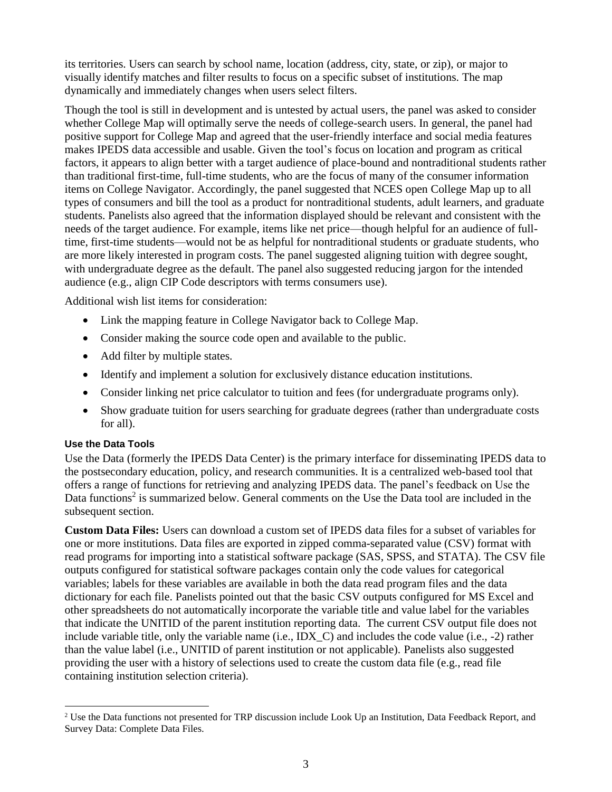its territories. Users can search by school name, location (address, city, state, or zip), or major to visually identify matches and filter results to focus on a specific subset of institutions. The map dynamically and immediately changes when users select filters.

Though the tool is still in development and is untested by actual users, the panel was asked to consider whether College Map will optimally serve the needs of college-search users. In general, the panel had positive support for College Map and agreed that the user-friendly interface and social media features makes IPEDS data accessible and usable. Given the tool's focus on location and program as critical factors, it appears to align better with a target audience of place-bound and nontraditional students rather than traditional first-time, full-time students, who are the focus of many of the consumer information items on College Navigator. Accordingly, the panel suggested that NCES open College Map up to all types of consumers and bill the tool as a product for nontraditional students, adult learners, and graduate students. Panelists also agreed that the information displayed should be relevant and consistent with the needs of the target audience. For example, items like net price—though helpful for an audience of fulltime, first-time students—would not be as helpful for nontraditional students or graduate students, who are more likely interested in program costs. The panel suggested aligning tuition with degree sought, with undergraduate degree as the default. The panel also suggested reducing jargon for the intended audience (e.g., align CIP Code descriptors with terms consumers use).

Additional wish list items for consideration:

- Link the mapping feature in College Navigator back to College Map.
- Consider making the source code open and available to the public.
- Add filter by multiple states.
- Identify and implement a solution for exclusively distance education institutions.
- Consider linking net price calculator to tuition and fees (for undergraduate programs only).
- Show graduate tuition for users searching for graduate degrees (rather than undergraduate costs for all).

### **Use the Data Tools**

 $\overline{a}$ 

Use the Data (formerly the IPEDS Data Center) is the primary interface for disseminating IPEDS data to the postsecondary education, policy, and research communities. It is a centralized web-based tool that offers a range of functions for retrieving and analyzing IPEDS data. The panel's feedback on Use the Data functions<sup>2</sup> is summarized below. General comments on the Use the Data tool are included in the subsequent section.

**Custom Data Files:** Users can download a custom set of IPEDS data files for a subset of variables for one or more institutions. Data files are exported in zipped comma-separated value (CSV) format with read programs for importing into a statistical software package (SAS, SPSS, and STATA). The CSV file outputs configured for statistical software packages contain only the code values for categorical variables; labels for these variables are available in both the data read program files and the data dictionary for each file. Panelists pointed out that the basic CSV outputs configured for MS Excel and other spreadsheets do not automatically incorporate the variable title and value label for the variables that indicate the UNITID of the parent institution reporting data. The current CSV output file does not include variable title, only the variable name (i.e., IDX\_C) and includes the code value (i.e., -2) rather than the value label (i.e., UNITID of parent institution or not applicable). Panelists also suggested providing the user with a history of selections used to create the custom data file (e.g., read file containing institution selection criteria).

<sup>&</sup>lt;sup>2</sup> Use the Data functions not presented for TRP discussion include Look Up an Institution, Data Feedback Report, and Survey Data: Complete Data Files.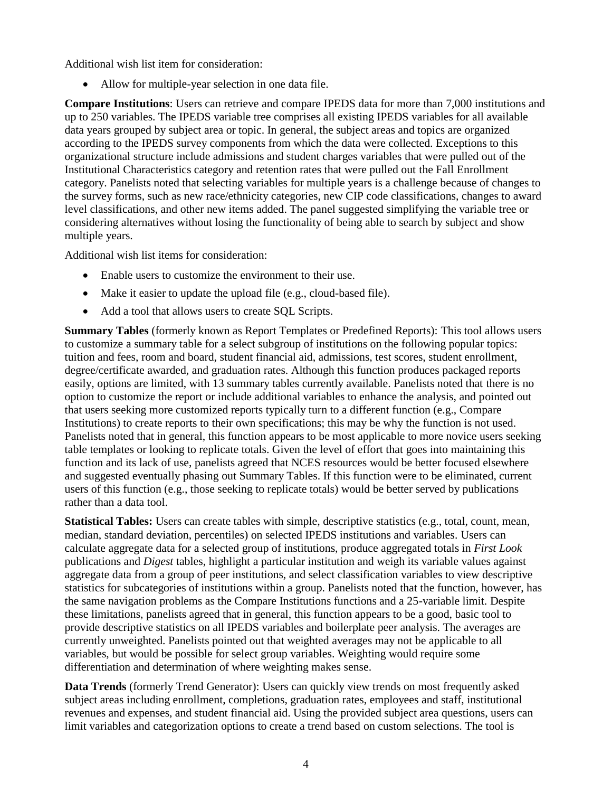Additional wish list item for consideration:

Allow for multiple-year selection in one data file.

**Compare Institutions**: Users can retrieve and compare IPEDS data for more than 7,000 institutions and up to 250 variables. The IPEDS variable tree comprises all existing IPEDS variables for all available data years grouped by subject area or topic. In general, the subject areas and topics are organized according to the IPEDS survey components from which the data were collected. Exceptions to this organizational structure include admissions and student charges variables that were pulled out of the Institutional Characteristics category and retention rates that were pulled out the Fall Enrollment category. Panelists noted that selecting variables for multiple years is a challenge because of changes to the survey forms, such as new race/ethnicity categories, new CIP code classifications, changes to award level classifications, and other new items added. The panel suggested simplifying the variable tree or considering alternatives without losing the functionality of being able to search by subject and show multiple years.

Additional wish list items for consideration:

- Enable users to customize the environment to their use.
- Make it easier to update the upload file (e.g., cloud-based file).
- Add a tool that allows users to create SQL Scripts.

**Summary Tables** (formerly known as Report Templates or Predefined Reports): This tool allows users to customize a summary table for a select subgroup of institutions on the following popular topics: tuition and fees, room and board, student financial aid, admissions, test scores, student enrollment, degree/certificate awarded, and graduation rates. Although this function produces packaged reports easily, options are limited, with 13 summary tables currently available. Panelists noted that there is no option to customize the report or include additional variables to enhance the analysis, and pointed out that users seeking more customized reports typically turn to a different function (e.g., Compare Institutions) to create reports to their own specifications; this may be why the function is not used. Panelists noted that in general, this function appears to be most applicable to more novice users seeking table templates or looking to replicate totals. Given the level of effort that goes into maintaining this function and its lack of use, panelists agreed that NCES resources would be better focused elsewhere and suggested eventually phasing out Summary Tables. If this function were to be eliminated, current users of this function (e.g., those seeking to replicate totals) would be better served by publications rather than a data tool.

**Statistical Tables:** Users can create tables with simple, descriptive statistics (e.g., total, count, mean, median, standard deviation, percentiles) on selected IPEDS institutions and variables*.* Users can calculate aggregate data for a selected group of institutions, produce aggregated totals in *First Look* publications and *Digest* tables, highlight a particular institution and weigh its variable values against aggregate data from a group of peer institutions, and select classification variables to view descriptive statistics for subcategories of institutions within a group. Panelists noted that the function, however, has the same navigation problems as the Compare Institutions functions and a 25-variable limit. Despite these limitations, panelists agreed that in general, this function appears to be a good, basic tool to provide descriptive statistics on all IPEDS variables and boilerplate peer analysis. The averages are currently unweighted. Panelists pointed out that weighted averages may not be applicable to all variables, but would be possible for select group variables. Weighting would require some differentiation and determination of where weighting makes sense.

**Data Trends** (formerly Trend Generator): Users can quickly view trends on most frequently asked subject areas including enrollment, completions, graduation rates, employees and staff, institutional revenues and expenses, and student financial aid. Using the provided subject area questions, users can limit variables and categorization options to create a trend based on custom selections. The tool is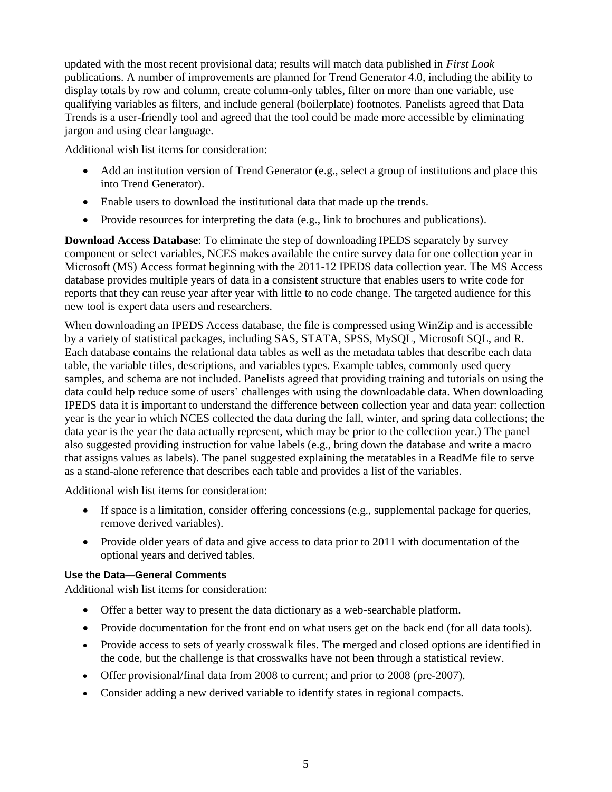updated with the most recent provisional data; results will match data published in *First Look* publications. A number of improvements are planned for Trend Generator 4.0, including the ability to display totals by row and column, create column-only tables, filter on more than one variable, use qualifying variables as filters, and include general (boilerplate) footnotes. Panelists agreed that Data Trends is a user-friendly tool and agreed that the tool could be made more accessible by eliminating jargon and using clear language.

Additional wish list items for consideration:

- Add an institution version of Trend Generator (e.g., select a group of institutions and place this into Trend Generator).
- Enable users to download the institutional data that made up the trends.
- Provide resources for interpreting the data (e.g., link to brochures and publications).

**Download Access Database**: To eliminate the step of downloading IPEDS separately by survey component or select variables, NCES makes available the entire survey data for one collection year in Microsoft (MS) Access format beginning with the 2011-12 IPEDS data collection year. The MS Access database provides multiple years of data in a consistent structure that enables users to write code for reports that they can reuse year after year with little to no code change. The targeted audience for this new tool is expert data users and researchers.

When downloading an IPEDS Access database, the file is compressed using WinZip and is accessible by a variety of statistical packages, including SAS, STATA, SPSS, MySQL, Microsoft SQL, and R. Each database contains the relational data tables as well as the metadata tables that describe each data table, the variable titles, descriptions, and variables types. Example tables, commonly used query samples, and schema are not included. Panelists agreed that providing training and tutorials on using the data could help reduce some of users' challenges with using the downloadable data. When downloading IPEDS data it is important to understand the difference between collection year and data year: collection year is the year in which NCES collected the data during the fall, winter, and spring data collections; the data year is the year the data actually represent, which may be prior to the collection year.) The panel also suggested providing instruction for value labels (e.g., bring down the database and write a macro that assigns values as labels). The panel suggested explaining the metatables in a ReadMe file to serve as a stand-alone reference that describes each table and provides a list of the variables.

Additional wish list items for consideration:

- If space is a limitation, consider offering concessions (e.g., supplemental package for queries, remove derived variables).
- Provide older years of data and give access to data prior to 2011 with documentation of the optional years and derived tables.

### **Use the Data—General Comments**

Additional wish list items for consideration:

- Offer a better way to present the data dictionary as a web-searchable platform.
- Provide documentation for the front end on what users get on the back end (for all data tools).
- Provide access to sets of yearly crosswalk files. The merged and closed options are identified in the code, but the challenge is that crosswalks have not been through a statistical review.
- Offer provisional/final data from 2008 to current; and prior to 2008 (pre-2007).
- Consider adding a new derived variable to identify states in regional compacts.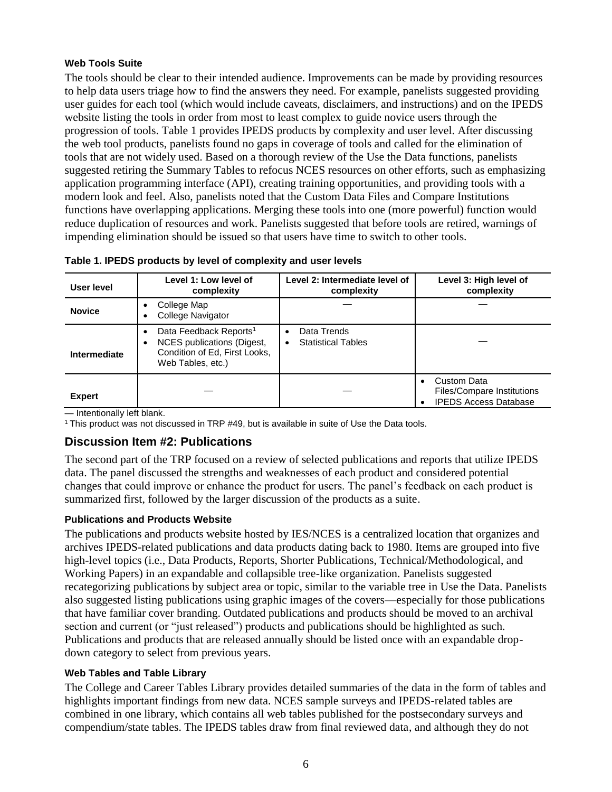# **Web Tools Suite**

The tools should be clear to their intended audience. Improvements can be made by providing resources to help data users triage how to find the answers they need. For example, panelists suggested providing user guides for each tool (which would include caveats, disclaimers, and instructions) and on the IPEDS website listing the tools in order from most to least complex to guide novice users through the progression of tools. Table 1 provides IPEDS products by complexity and user level. After discussing the web tool products, panelists found no gaps in coverage of tools and called for the elimination of tools that are not widely used. Based on a thorough review of the Use the Data functions, panelists suggested retiring the Summary Tables to refocus NCES resources on other efforts, such as emphasizing application programming interface (API), creating training opportunities, and providing tools with a modern look and feel. Also, panelists noted that the Custom Data Files and Compare Institutions functions have overlapping applications. Merging these tools into one (more powerful) function would reduce duplication of resources and work. Panelists suggested that before tools are retired, warnings of impending elimination should be issued so that users have time to switch to other tools.

| User level    | Level 1: Low level of<br>complexity                                                                                         | Level 2: Intermediate level of<br>complexity  | Level 3: High level of<br>complexity                                             |
|---------------|-----------------------------------------------------------------------------------------------------------------------------|-----------------------------------------------|----------------------------------------------------------------------------------|
| <b>Novice</b> | College Map<br>$\bullet$<br>College Navigator<br>$\bullet$                                                                  |                                               |                                                                                  |
| Intermediate  | Data Feedback Reports <sup>1</sup><br>NCES publications (Digest,<br>٠<br>Condition of Ed, First Looks,<br>Web Tables, etc.) | Data Trends<br>٠<br><b>Statistical Tables</b> |                                                                                  |
| <b>Expert</b> |                                                                                                                             |                                               | Custom Data<br><b>Files/Compare Institutions</b><br><b>IPEDS Access Database</b> |

— Intentionally left blank.

 $1$  This product was not discussed in TRP  $#49$ , but is available in suite of Use the Data tools.

# **Discussion Item #2: Publications**

The second part of the TRP focused on a review of selected publications and reports that utilize IPEDS data. The panel discussed the strengths and weaknesses of each product and considered potential changes that could improve or enhance the product for users. The panel's feedback on each product is summarized first, followed by the larger discussion of the products as a suite.

#### **Publications and Products Website**

The publications and products website hosted by IES/NCES is a centralized location that organizes and archives IPEDS-related publications and data products dating back to 1980. Items are grouped into five high-level topics (i.e., Data Products, Reports, Shorter Publications, Technical/Methodological, and Working Papers) in an expandable and collapsible tree-like organization. Panelists suggested recategorizing publications by subject area or topic, similar to the variable tree in Use the Data. Panelists also suggested listing publications using graphic images of the covers—especially for those publications that have familiar cover branding. Outdated publications and products should be moved to an archival section and current (or "just released") products and publications should be highlighted as such. Publications and products that are released annually should be listed once with an expandable dropdown category to select from previous years.

### **Web Tables and Table Library**

The College and Career Tables Library provides detailed summaries of the data in the form of tables and highlights important findings from new data. NCES sample surveys and IPEDS-related tables are combined in one library, which contains all web tables published for the postsecondary surveys and compendium/state tables. The IPEDS tables draw from final reviewed data, and although they do not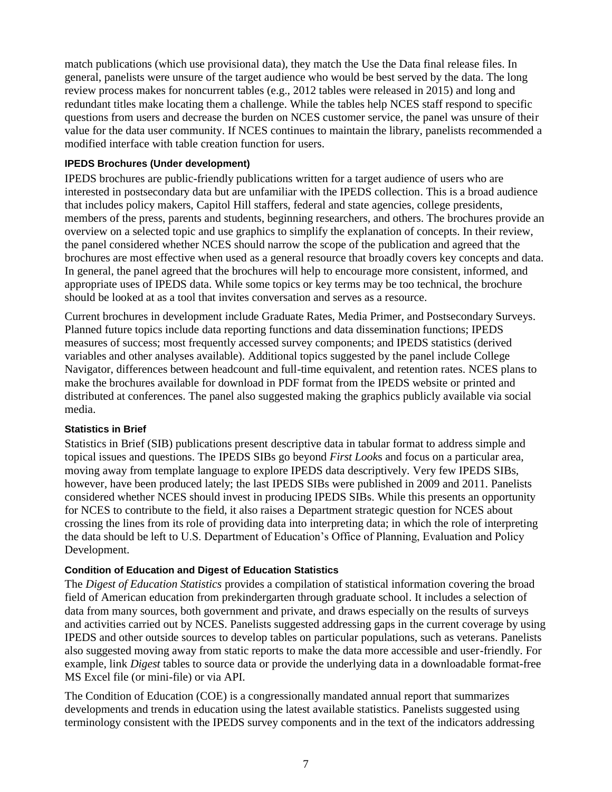match publications (which use provisional data), they match the Use the Data final release files. In general, panelists were unsure of the target audience who would be best served by the data. The long review process makes for noncurrent tables (e.g., 2012 tables were released in 2015) and long and redundant titles make locating them a challenge. While the tables help NCES staff respond to specific questions from users and decrease the burden on NCES customer service, the panel was unsure of their value for the data user community. If NCES continues to maintain the library, panelists recommended a modified interface with table creation function for users.

#### **IPEDS Brochures (Under development)**

IPEDS brochures are public-friendly publications written for a target audience of users who are interested in postsecondary data but are unfamiliar with the IPEDS collection. This is a broad audience that includes policy makers, Capitol Hill staffers, federal and state agencies, college presidents, members of the press, parents and students, beginning researchers, and others. The brochures provide an overview on a selected topic and use graphics to simplify the explanation of concepts. In their review, the panel considered whether NCES should narrow the scope of the publication and agreed that the brochures are most effective when used as a general resource that broadly covers key concepts and data. In general, the panel agreed that the brochures will help to encourage more consistent, informed, and appropriate uses of IPEDS data. While some topics or key terms may be too technical, the brochure should be looked at as a tool that invites conversation and serves as a resource.

Current brochures in development include Graduate Rates, Media Primer, and Postsecondary Surveys. Planned future topics include data reporting functions and data dissemination functions; IPEDS measures of success; most frequently accessed survey components; and IPEDS statistics (derived variables and other analyses available). Additional topics suggested by the panel include College Navigator, differences between headcount and full-time equivalent, and retention rates. NCES plans to make the brochures available for download in PDF format from the IPEDS website or printed and distributed at conferences. The panel also suggested making the graphics publicly available via social media.

#### **Statistics in Brief**

Statistics in Brief (SIB) publications present descriptive data in tabular format to address simple and topical issues and questions. The IPEDS SIBs go beyond *First Look*s and focus on a particular area, moving away from template language to explore IPEDS data descriptively. Very few IPEDS SIBs, however, have been produced lately; the last IPEDS SIBs were published in 2009 and 2011. Panelists considered whether NCES should invest in producing IPEDS SIBs. While this presents an opportunity for NCES to contribute to the field, it also raises a Department strategic question for NCES about crossing the lines from its role of providing data into interpreting data; in which the role of interpreting the data should be left to U.S. Department of Education's Office of Planning, Evaluation and Policy Development.

#### **Condition of Education and Digest of Education Statistics**

The *Digest of Education Statistics* provides a compilation of statistical information covering the broad field of American education from prekindergarten through graduate school. It includes a selection of data from many sources, both government and private, and draws especially on the results of surveys and activities carried out by NCES. Panelists suggested addressing gaps in the current coverage by using IPEDS and other outside sources to develop tables on particular populations, such as veterans. Panelists also suggested moving away from static reports to make the data more accessible and user-friendly. For example, link *Digest* tables to source data or provide the underlying data in a downloadable format-free MS Excel file (or mini-file) or via API.

The Condition of Education (COE) is a congressionally mandated annual report that summarizes developments and trends in education using the latest available statistics. Panelists suggested using terminology consistent with the IPEDS survey components and in the text of the indicators addressing